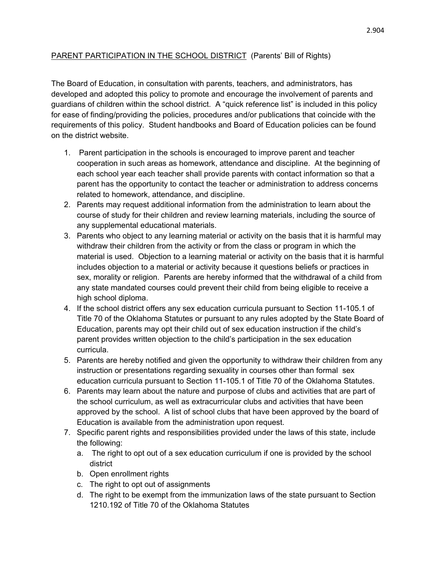## PARENT PARTICIPATION IN THE SCHOOL DISTRICT (Parents' Bill of Rights)

The Board of Education, in consultation with parents, teachers, and administrators, has developed and adopted this policy to promote and encourage the involvement of parents and guardians of children within the school district. A "quick reference list" is included in this policy for ease of finding/providing the policies, procedures and/or publications that coincide with the requirements of this policy. Student handbooks and Board of Education policies can be found on the district website.

- 1. Parent participation in the schools is encouraged to improve parent and teacher cooperation in such areas as homework, attendance and discipline. At the beginning of each school year each teacher shall provide parents with contact information so that a parent has the opportunity to contact the teacher or administration to address concerns related to homework, attendance, and discipline.
- 2. Parents may request additional information from the administration to learn about the course of study for their children and review learning materials, including the source of any supplemental educational materials.
- 3. Parents who object to any learning material or activity on the basis that it is harmful may withdraw their children from the activity or from the class or program in which the material is used. Objection to a learning material or activity on the basis that it is harmful includes objection to a material or activity because it questions beliefs or practices in sex, morality or religion. Parents are hereby informed that the withdrawal of a child from any state mandated courses could prevent their child from being eligible to receive a high school diploma.
- 4. If the school district offers any sex education curricula pursuant to Section 11-105.1 of Title 70 of the Oklahoma Statutes or pursuant to any rules adopted by the State Board of Education, parents may opt their child out of sex education instruction if the child's parent provides written objection to the child's participation in the sex education curricula.
- 5. Parents are hereby notified and given the opportunity to withdraw their children from any instruction or presentations regarding sexuality in courses other than formal sex education curricula pursuant to Section 11-105.1 of Title 70 of the Oklahoma Statutes.
- 6. Parents may learn about the nature and purpose of clubs and activities that are part of the school curriculum, as well as extracurricular clubs and activities that have been approved by the school. A list of school clubs that have been approved by the board of Education is available from the administration upon request.
- 7. Specific parent rights and responsibilities provided under the laws of this state, include the following:
	- a. The right to opt out of a sex education curriculum if one is provided by the school district
	- b. Open enrollment rights
	- c. The right to opt out of assignments
	- d. The right to be exempt from the immunization laws of the state pursuant to Section 1210.192 of Title 70 of the Oklahoma Statutes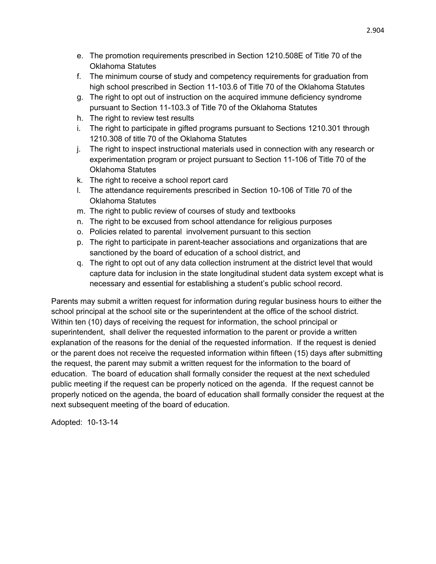- e. The promotion requirements prescribed in Section 1210.508E of Title 70 of the Oklahoma Statutes
- f. The minimum course of study and competency requirements for graduation from high school prescribed in Section 11-103.6 of Title 70 of the Oklahoma Statutes
- g. The right to opt out of instruction on the acquired immune deficiency syndrome pursuant to Section 11-103.3 of Title 70 of the Oklahoma Statutes
- h. The right to review test results
- i. The right to participate in gifted programs pursuant to Sections 1210.301 through 1210.308 of title 70 of the Oklahoma Statutes
- j. The right to inspect instructional materials used in connection with any research or experimentation program or project pursuant to Section 11-106 of Title 70 of the Oklahoma Statutes
- k. The right to receive a school report card
- l. The attendance requirements prescribed in Section 10-106 of Title 70 of the Oklahoma Statutes
- m. The right to public review of courses of study and textbooks
- n. The right to be excused from school attendance for religious purposes
- o. Policies related to parental involvement pursuant to this section
- p. The right to participate in parent-teacher associations and organizations that are sanctioned by the board of education of a school district, and
- q. The right to opt out of any data collection instrument at the district level that would capture data for inclusion in the state longitudinal student data system except what is necessary and essential for establishing a student's public school record.

Parents may submit a written request for information during regular business hours to either the school principal at the school site or the superintendent at the office of the school district. Within ten (10) days of receiving the request for information, the school principal or superintendent, shall deliver the requested information to the parent or provide a written explanation of the reasons for the denial of the requested information. If the request is denied or the parent does not receive the requested information within fifteen (15) days after submitting the request, the parent may submit a written request for the information to the board of education. The board of education shall formally consider the request at the next scheduled public meeting if the request can be properly noticed on the agenda. If the request cannot be properly noticed on the agenda, the board of education shall formally consider the request at the next subsequent meeting of the board of education.

Adopted: 10-13-14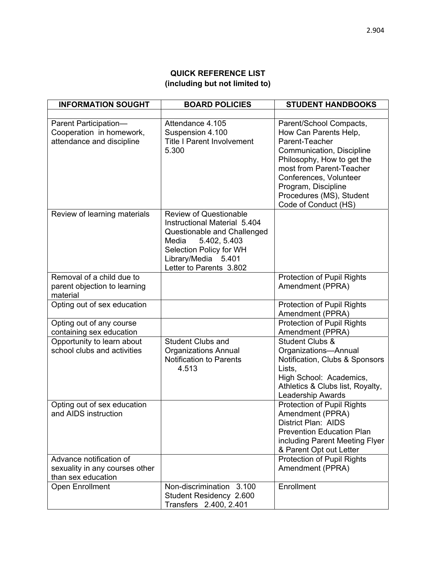## **QUICK REFERENCE LIST (including but not limited to)**

| <b>INFORMATION SOUGHT</b>                                                       | <b>BOARD POLICIES</b>                                                                                                                                                                              | <b>STUDENT HANDBOOKS</b>                                                                                                                                                                                                                                       |
|---------------------------------------------------------------------------------|----------------------------------------------------------------------------------------------------------------------------------------------------------------------------------------------------|----------------------------------------------------------------------------------------------------------------------------------------------------------------------------------------------------------------------------------------------------------------|
|                                                                                 |                                                                                                                                                                                                    |                                                                                                                                                                                                                                                                |
| Parent Participation-<br>Cooperation in homework,<br>attendance and discipline  | Attendance 4.105<br>Suspension 4.100<br><b>Title I Parent Involvement</b><br>5.300                                                                                                                 | Parent/School Compacts,<br>How Can Parents Help,<br>Parent-Teacher<br>Communication, Discipline<br>Philosophy, How to get the<br>most from Parent-Teacher<br>Conferences, Volunteer<br>Program, Discipline<br>Procedures (MS), Student<br>Code of Conduct (HS) |
| Review of learning materials                                                    | <b>Review of Questionable</b><br>Instructional Material 5.404<br>Questionable and Challenged<br>5.402, 5.403<br>Media<br>Selection Policy for WH<br>Library/Media 5.401<br>Letter to Parents 3.802 |                                                                                                                                                                                                                                                                |
| Removal of a child due to<br>parent objection to learning<br>material           |                                                                                                                                                                                                    | Protection of Pupil Rights<br>Amendment (PPRA)                                                                                                                                                                                                                 |
| Opting out of sex education                                                     |                                                                                                                                                                                                    | Protection of Pupil Rights<br>Amendment (PPRA)                                                                                                                                                                                                                 |
| Opting out of any course<br>containing sex education                            |                                                                                                                                                                                                    | Protection of Pupil Rights<br>Amendment (PPRA)                                                                                                                                                                                                                 |
| Opportunity to learn about<br>school clubs and activities                       | <b>Student Clubs and</b><br><b>Organizations Annual</b><br>Notification to Parents<br>4.513                                                                                                        | <b>Student Clubs &amp;</b><br>Organizations-Annual<br>Notification, Clubs & Sponsors<br>Lists,<br>High School: Academics,<br>Athletics & Clubs list, Royalty,<br><b>Leadership Awards</b>                                                                      |
| Opting out of sex education<br>and AIDS instruction                             |                                                                                                                                                                                                    | Protection of Pupil Rights<br>Amendment (PPRA)<br>District Plan: AIDS<br><b>Prevention Education Plan</b><br>including Parent Meeting Flyer<br>& Parent Opt out Letter                                                                                         |
| Advance notification of<br>sexuality in any courses other<br>than sex education |                                                                                                                                                                                                    | Protection of Pupil Rights<br>Amendment (PPRA)                                                                                                                                                                                                                 |
| Open Enrollment                                                                 | Non-discrimination 3.100<br>Student Residency 2.600<br>Transfers 2.400, 2.401                                                                                                                      | Enrollment                                                                                                                                                                                                                                                     |